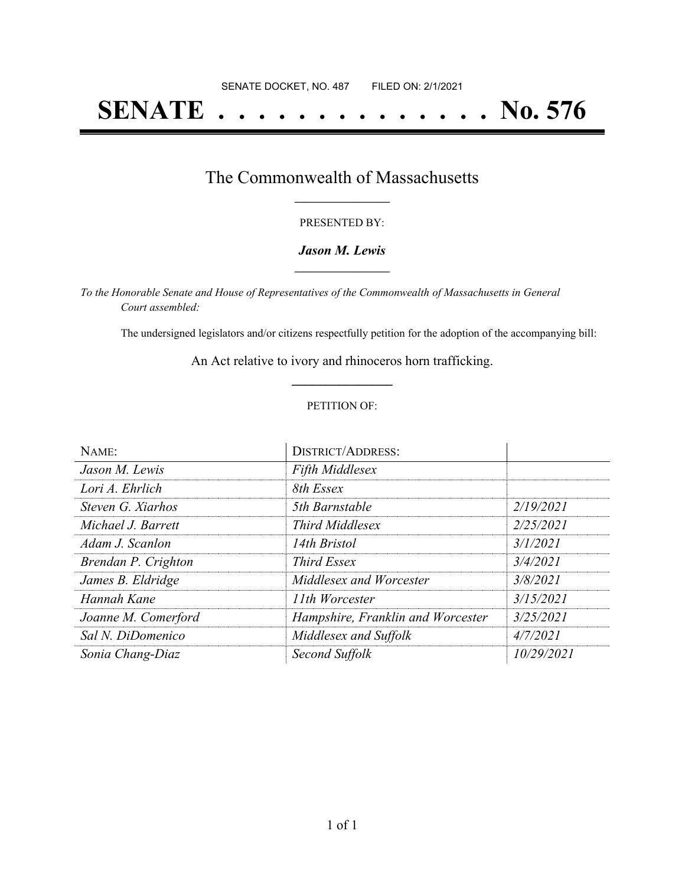# **SENATE . . . . . . . . . . . . . . No. 576**

## The Commonwealth of Massachusetts **\_\_\_\_\_\_\_\_\_\_\_\_\_\_\_\_\_**

#### PRESENTED BY:

### *Jason M. Lewis* **\_\_\_\_\_\_\_\_\_\_\_\_\_\_\_\_\_**

*To the Honorable Senate and House of Representatives of the Commonwealth of Massachusetts in General Court assembled:*

The undersigned legislators and/or citizens respectfully petition for the adoption of the accompanying bill:

An Act relative to ivory and rhinoceros horn trafficking. **\_\_\_\_\_\_\_\_\_\_\_\_\_\_\_**

#### PETITION OF:

| NAME:               | <b>DISTRICT/ADDRESS:</b>          |            |
|---------------------|-----------------------------------|------------|
| Jason M. Lewis      | <b>Fifth Middlesex</b>            |            |
| Lori A. Ehrlich     | 8th Essex                         |            |
| Steven G. Xiarhos   | 5th Barnstable                    | 2/19/2021  |
| Michael J. Barrett  | Third Middlesex                   | 2/25/2021  |
| Adam J. Scanlon     | 14th Bristol                      | 3/1/2021   |
| Brendan P. Crighton | Third Essex                       | 3/4/2021   |
| James B. Eldridge   | Middlesex and Worcester           | 3/8/2021   |
| Hannah Kane         | 11th Worcester                    | 3/15/2021  |
| Joanne M. Comerford | Hampshire, Franklin and Worcester | 3/25/2021  |
| Sal N. DiDomenico   | Middlesex and Suffolk             | 4/7/2021   |
| Sonia Chang-Diaz    | Second Suffolk                    | 10/29/2021 |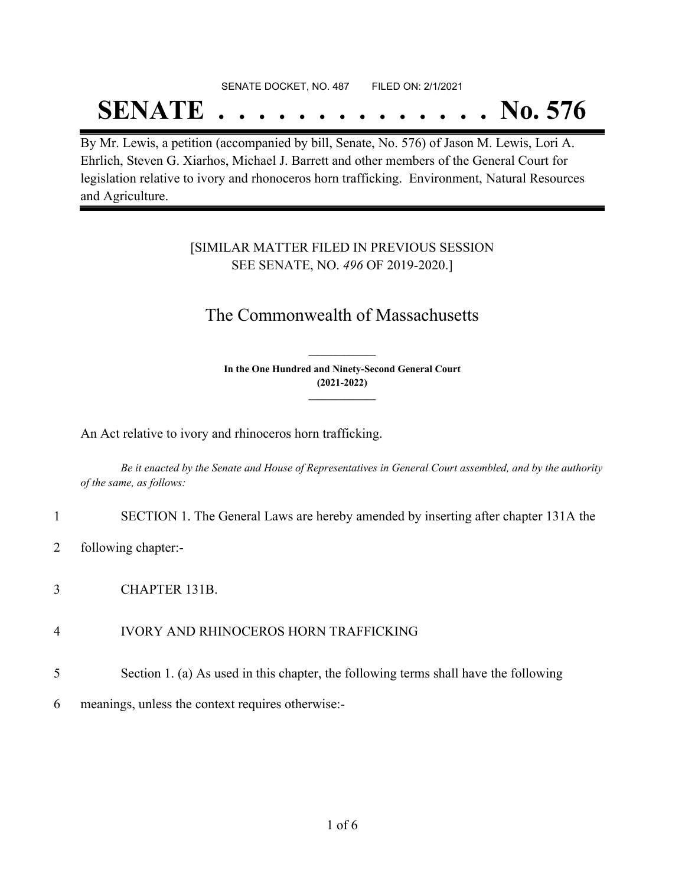### SENATE DOCKET, NO. 487 FILED ON: 2/1/2021

## **SENATE . . . . . . . . . . . . . . No. 576**

By Mr. Lewis, a petition (accompanied by bill, Senate, No. 576) of Jason M. Lewis, Lori A. Ehrlich, Steven G. Xiarhos, Michael J. Barrett and other members of the General Court for legislation relative to ivory and rhonoceros horn trafficking. Environment, Natural Resources and Agriculture.

### [SIMILAR MATTER FILED IN PREVIOUS SESSION SEE SENATE, NO. *496* OF 2019-2020.]

## The Commonwealth of Massachusetts

**In the One Hundred and Ninety-Second General Court (2021-2022) \_\_\_\_\_\_\_\_\_\_\_\_\_\_\_**

**\_\_\_\_\_\_\_\_\_\_\_\_\_\_\_**

An Act relative to ivory and rhinoceros horn trafficking.

Be it enacted by the Senate and House of Representatives in General Court assembled, and by the authority *of the same, as follows:*

### 1 SECTION 1. The General Laws are hereby amended by inserting after chapter 131A the

- 2 following chapter:-
- 3 CHAPTER 131B.

### 4 IVORY AND RHINOCEROS HORN TRAFFICKING

- 5 Section 1. (a) As used in this chapter, the following terms shall have the following
- 6 meanings, unless the context requires otherwise:-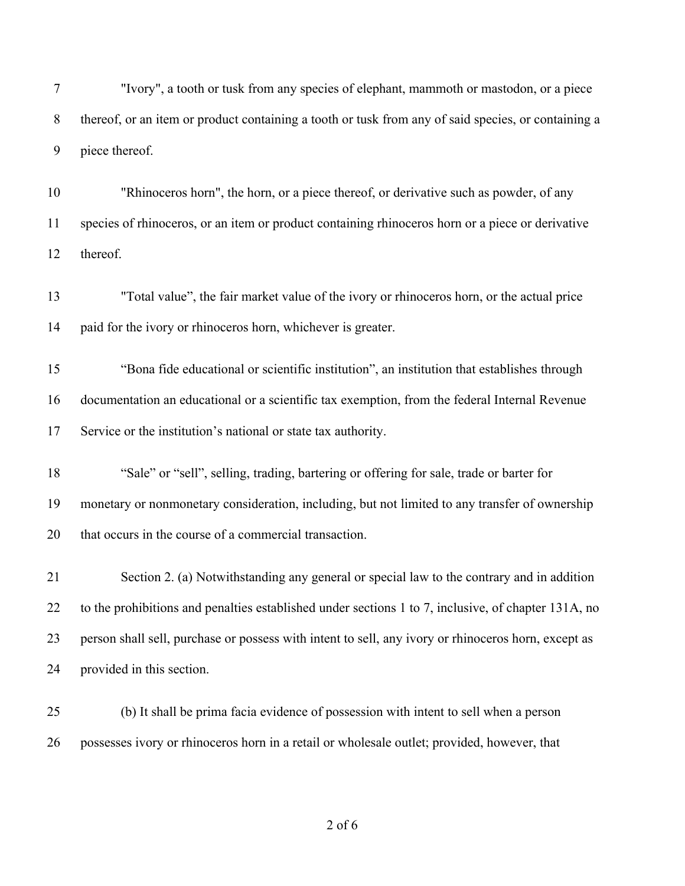"Ivory", a tooth or tusk from any species of elephant, mammoth or mastodon, or a piece thereof, or an item or product containing a tooth or tusk from any of said species, or containing a piece thereof.

 "Rhinoceros horn", the horn, or a piece thereof, or derivative such as powder, of any species of rhinoceros, or an item or product containing rhinoceros horn or a piece or derivative thereof.

 "Total value", the fair market value of the ivory or rhinoceros horn, or the actual price paid for the ivory or rhinoceros horn, whichever is greater.

 "Bona fide educational or scientific institution", an institution that establishes through documentation an educational or a scientific tax exemption, from the federal Internal Revenue Service or the institution's national or state tax authority.

 "Sale" or "sell", selling, trading, bartering or offering for sale, trade or barter for monetary or nonmonetary consideration, including, but not limited to any transfer of ownership that occurs in the course of a commercial transaction.

 Section 2. (a) Notwithstanding any general or special law to the contrary and in addition to the prohibitions and penalties established under sections 1 to 7, inclusive, of chapter 131A, no person shall sell, purchase or possess with intent to sell, any ivory or rhinoceros horn, except as provided in this section.

 (b) It shall be prima facia evidence of possession with intent to sell when a person possesses ivory or rhinoceros horn in a retail or wholesale outlet; provided, however, that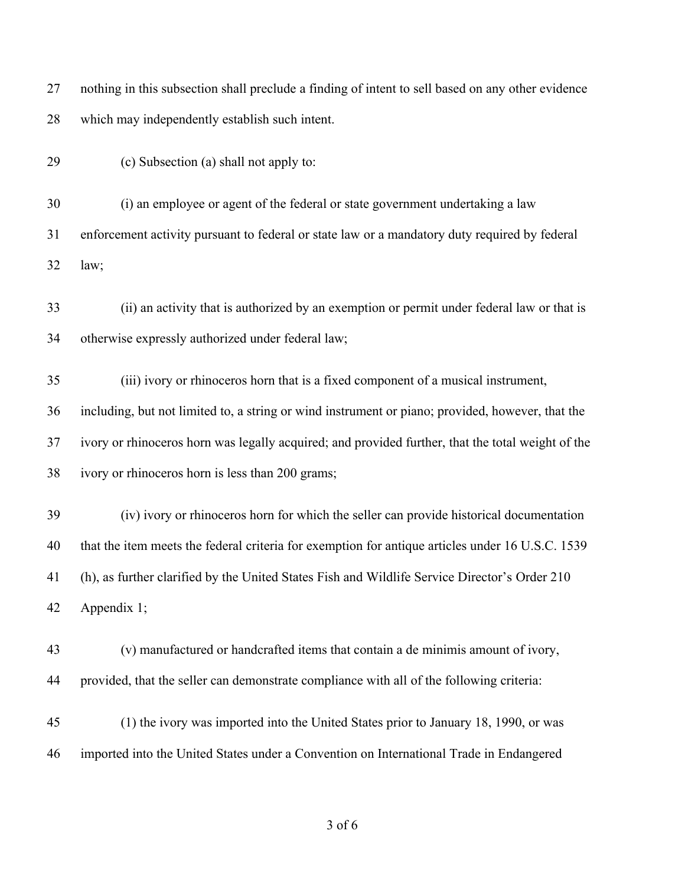| 27 | nothing in this subsection shall preclude a finding of intent to sell based on any other evidence |
|----|---------------------------------------------------------------------------------------------------|
| 28 | which may independently establish such intent.                                                    |
| 29 | (c) Subsection (a) shall not apply to:                                                            |
| 30 | (i) an employee or agent of the federal or state government undertaking a law                     |
| 31 | enforcement activity pursuant to federal or state law or a mandatory duty required by federal     |
| 32 | law;                                                                                              |
| 33 | (ii) an activity that is authorized by an exemption or permit under federal law or that is        |
| 34 | otherwise expressly authorized under federal law;                                                 |
| 35 | (iii) ivory or rhinoceros horn that is a fixed component of a musical instrument,                 |
| 36 | including, but not limited to, a string or wind instrument or piano; provided, however, that the  |
| 37 | ivory or rhinoceros horn was legally acquired; and provided further, that the total weight of the |
| 38 | ivory or rhinoceros horn is less than 200 grams;                                                  |
| 39 | (iv) ivory or rhinoceros horn for which the seller can provide historical documentation           |
| 40 | that the item meets the federal criteria for exemption for antique articles under 16 U.S.C. 1539  |
| 41 | (h), as further clarified by the United States Fish and Wildlife Service Director's Order 210     |
| 42 | Appendix 1;                                                                                       |
| 43 | (v) manufactured or handcrafted items that contain a de minimis amount of ivory,                  |
| 44 | provided, that the seller can demonstrate compliance with all of the following criteria:          |
| 45 | (1) the ivory was imported into the United States prior to January 18, 1990, or was               |
| 46 | imported into the United States under a Convention on International Trade in Endangered           |
|    |                                                                                                   |

of 6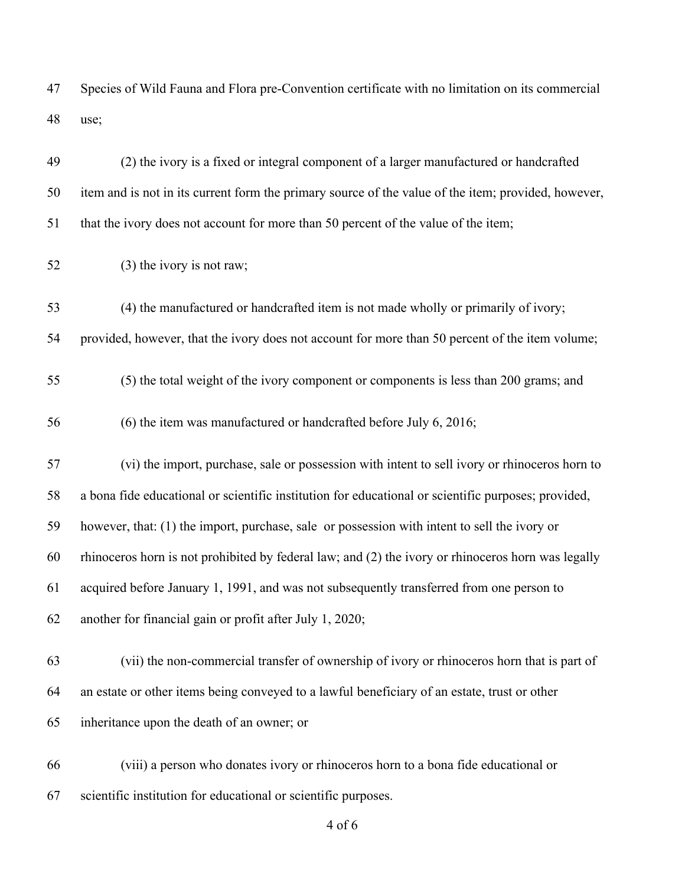Species of Wild Fauna and Flora pre-Convention certificate with no limitation on its commercial use;

 (2) the ivory is a fixed or integral component of a larger manufactured or handcrafted item and is not in its current form the primary source of the value of the item; provided, however, that the ivory does not account for more than 50 percent of the value of the item;

- (3) the ivory is not raw;
- (4) the manufactured or handcrafted item is not made wholly or primarily of ivory;

provided, however, that the ivory does not account for more than 50 percent of the item volume;

(5) the total weight of the ivory component or components is less than 200 grams; and

(6) the item was manufactured or handcrafted before July 6, 2016;

 (vi) the import, purchase, sale or possession with intent to sell ivory or rhinoceros horn to a bona fide educational or scientific institution for educational or scientific purposes; provided, however, that: (1) the import, purchase, sale or possession with intent to sell the ivory or rhinoceros horn is not prohibited by federal law; and (2) the ivory or rhinoceros horn was legally acquired before January 1, 1991, and was not subsequently transferred from one person to another for financial gain or profit after July 1, 2020;

 (vii) the non-commercial transfer of ownership of ivory or rhinoceros horn that is part of an estate or other items being conveyed to a lawful beneficiary of an estate, trust or other inheritance upon the death of an owner; or

 (viii) a person who donates ivory or rhinoceros horn to a bona fide educational or scientific institution for educational or scientific purposes.

of 6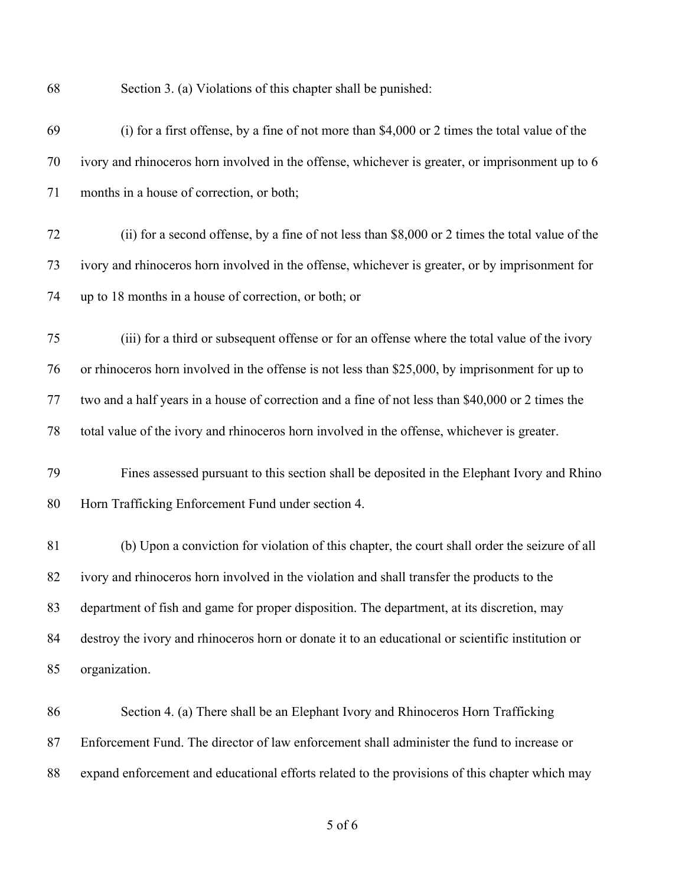Section 3. (a) Violations of this chapter shall be punished:

 (i) for a first offense, by a fine of not more than \$4,000 or 2 times the total value of the ivory and rhinoceros horn involved in the offense, whichever is greater, or imprisonment up to 6 months in a house of correction, or both;

 (ii) for a second offense, by a fine of not less than \$8,000 or 2 times the total value of the ivory and rhinoceros horn involved in the offense, whichever is greater, or by imprisonment for up to 18 months in a house of correction, or both; or

 (iii) for a third or subsequent offense or for an offense where the total value of the ivory or rhinoceros horn involved in the offense is not less than \$25,000, by imprisonment for up to two and a half years in a house of correction and a fine of not less than \$40,000 or 2 times the total value of the ivory and rhinoceros horn involved in the offense, whichever is greater.

 Fines assessed pursuant to this section shall be deposited in the Elephant Ivory and Rhino Horn Trafficking Enforcement Fund under section 4.

 (b) Upon a conviction for violation of this chapter, the court shall order the seizure of all ivory and rhinoceros horn involved in the violation and shall transfer the products to the department of fish and game for proper disposition. The department, at its discretion, may destroy the ivory and rhinoceros horn or donate it to an educational or scientific institution or organization.

 Section 4. (a) There shall be an Elephant Ivory and Rhinoceros Horn Trafficking Enforcement Fund. The director of law enforcement shall administer the fund to increase or expand enforcement and educational efforts related to the provisions of this chapter which may